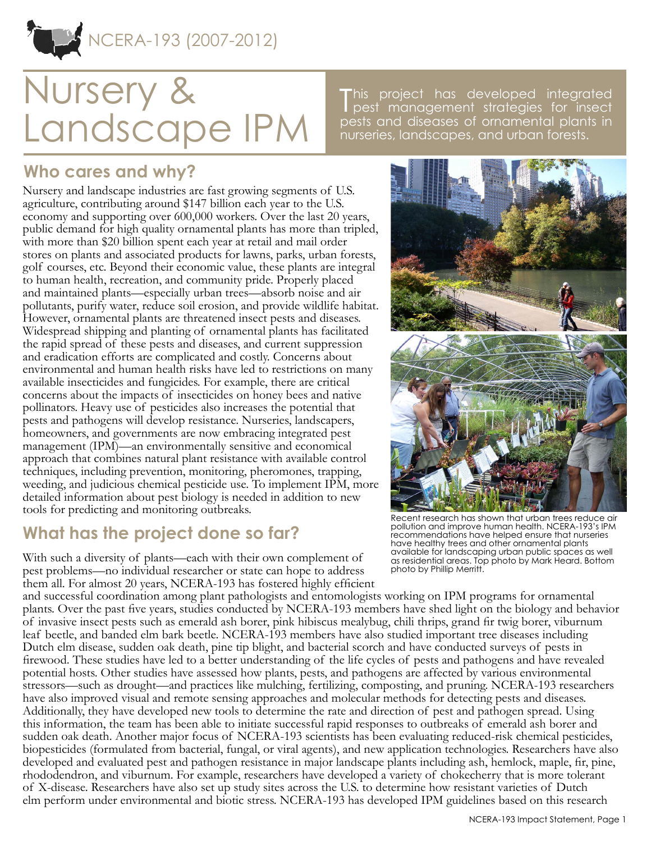NCERA-193 (2007-2012)

# Nursery & Landscape IPM

This project has developed integrated<br>T pest management strategies for insect pest management strategies for insect pests and diseases of ornamental plants in nurseries, landscapes, and urban forests.

# **Who cares and why?**

Nursery and landscape industries are fast growing segments of U.S. agriculture, contributing around \$147 billion each year to the U.S. economy and supporting over 600,000 workers. Over the last 20 years, public demand for high quality ornamental plants has more than tripled, with more than \$20 billion spent each year at retail and mail order stores on plants and associated products for lawns, parks, urban forests, golf courses, etc. Beyond their economic value, these plants are integral to human health, recreation, and community pride. Properly placed and maintained plants—especially urban trees—absorb noise and air pollutants, purify water, reduce soil erosion, and provide wildlife habitat. However, ornamental plants are threatened insect pests and diseases. Widespread shipping and planting of ornamental plants has facilitated the rapid spread of these pests and diseases, and current suppression and eradication efforts are complicated and costly. Concerns about environmental and human health risks have led to restrictions on many available insecticides and fungicides. For example, there are critical concerns about the impacts of insecticides on honey bees and native pollinators. Heavy use of pesticides also increases the potential that pests and pathogens will develop resistance. Nurseries, landscapers, homeowners, and governments are now embracing integrated pest management (IPM)—an environmentally sensitive and economical approach that combines natural plant resistance with available control techniques, including prevention, monitoring, pheromones, trapping, weeding, and judicious chemical pesticide use. To implement IPM, more detailed information about pest biology is needed in addition to new tools for predicting and monitoring outbreaks.

## **What has the project done so far?**

With such a diversity of plants—each with their own complement of pest problems—no individual researcher or state can hope to address them all. For almost 20 years, NCERA-193 has fostered highly efficient

and successful coordination among plant pathologists and entomologists working on IPM programs for ornamental plants. Over the past five years, studies conducted by NCERA-193 members have shed light on the biology and behavior of invasive insect pests such as emerald ash borer, pink hibiscus mealybug, chili thrips, grand fir twig borer, viburnum leaf beetle, and banded elm bark beetle. NCERA-193 members have also studied important tree diseases including Dutch elm disease, sudden oak death, pine tip blight, and bacterial scorch and have conducted surveys of pests in firewood. These studies have led to a better understanding of the life cycles of pests and pathogens and have revealed potential hosts. Other studies have assessed how plants, pests, and pathogens are affected by various environmental stressors—such as drought—and practices like mulching, fertilizing, composting, and pruning. NCERA-193 researchers have also improved visual and remote sensing approaches and molecular methods for detecting pests and diseases. Additionally, they have developed new tools to determine the rate and direction of pest and pathogen spread. Using this information, the team has been able to initiate successful rapid responses to outbreaks of emerald ash borer and sudden oak death. Another major focus of NCERA-193 scientists has been evaluating reduced-risk chemical pesticides, biopesticides (formulated from bacterial, fungal, or viral agents), and new application technologies. Researchers have also developed and evaluated pest and pathogen resistance in major landscape plants including ash, hemlock, maple, fir, pine, rhododendron, and viburnum. For example, researchers have developed a variety of chokecherry that is more tolerant of X-disease. Researchers have also set up study sites across the U.S. to determine how resistant varieties of Dutch elm perform under environmental and biotic stress. NCERA-193 has developed IPM guidelines based on this research